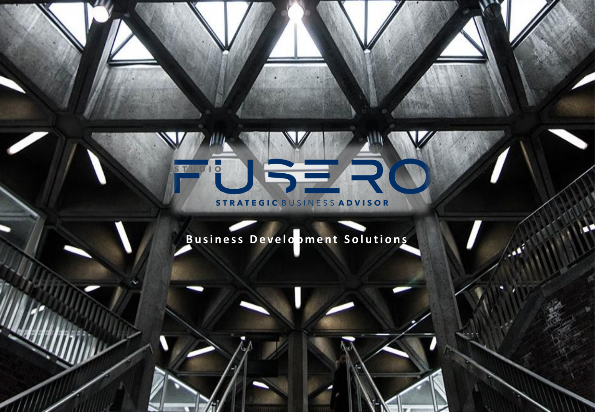### SER  $\overline{\circ}$ S T/L STRATEGIC BUSINESS ADVISOR

# Business Development Solutions

345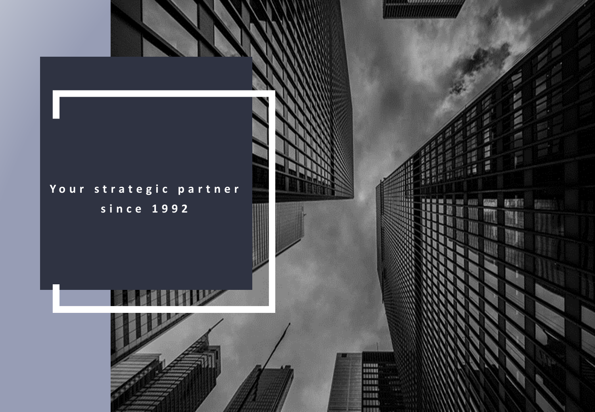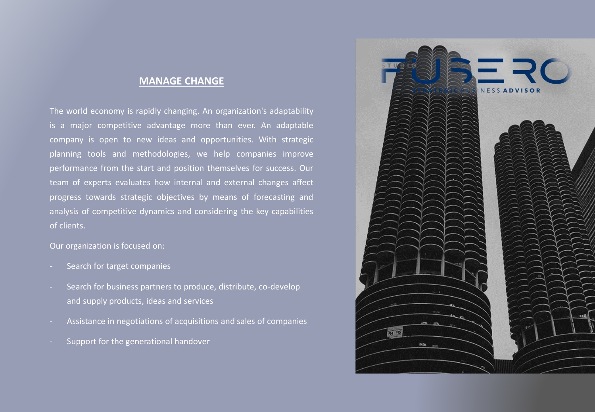#### **MANAGE CHANGE**

The world economy is rapidly changing. An organization's adaptability is a major competitive advantage more than ever. An adaptable company is open to new ideas and opportunities. With strategic planning tools and methodologies, we help companies improve performance from the start and position themselves for success. Our team of experts evaluates how internal and external changes affect progress towards strategic objectives by means of forecasting and analysis of competitive dynamics and considering the key capabilities of clients.

Our organization is focused on:

- Search for target companies
- Search for business partners to produce, distribute, co-develop and supply products, ideas and services
- Assistance in negotiations of acquisitions and sales of companies
- Support for the generational handover

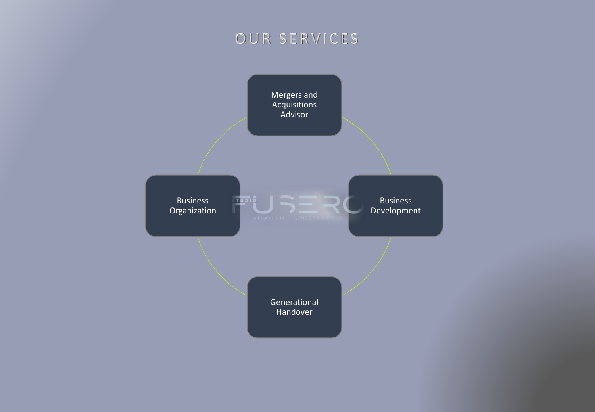# OUR SERVICES

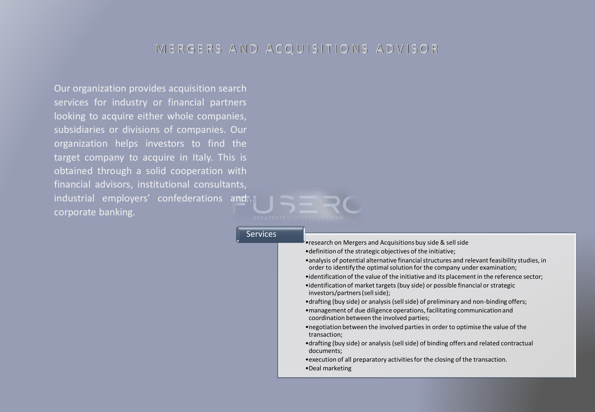#### MERGERS AND ACQUISITIONS ADVISOR

Our organization provides acquisition search services for industry or financial partners looking to acquire either whole companies, subsidiaries or divisions of companies. Our organization helps investors to find the target company to acquire in Italy. This is obtained through a solid cooperation with financial advisors, institutional consultants, industrial employers' confederations and corporate banking.